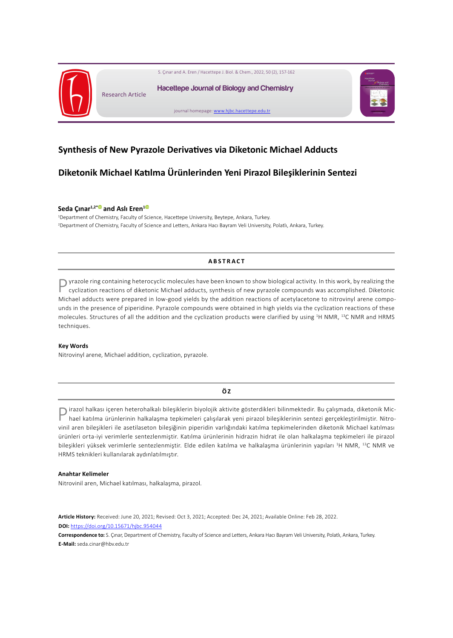

# **Synthesis of New Pyrazole Derivatives via Diketonic Michael Adducts**

# **Diketonik Michael Katılma Ürünlerinden Yeni Pirazol Bileşiklerinin Sentezi**

### **Seda Çınar1,2\*and Aslı Eren[1](http://www.hjbc.hacettepe.edu.tr/)**

1 Department of Chemistry, Faculty of Science, Hacettepe University, Beytepe, Ankara, Turkey. 2 Department of Chemistry, Faculty of Science and Letters, Ankara Hacı Bayram Veli University, Polatlı, Ankara, Turkey.

## **ABSTRACT**

 $\bigcap$  yrazole ring containing heterocyclic molecules have been known to show biological activity. In this work, by realizing the cyclization reactions of diketonic Michael adducts, synthesis of new pyrazole compounds was accomplished. Diketonic Michael adducts were prepared in low-good yields by the addition reactions of acetylacetone to nitrovinyl arene compounds in the presence of piperidine. Pyrazole compounds were obtained in high yields via the cyclization reactions of these molecules. Structures of all the addition and the cyclization products were clarified by using <sup>1</sup>H NMR, <sup>13</sup>C NMR and HRMS techniques.

### **Key Words**

Nitrovinyl arene, Michael addition, cyclization, pyrazole.

## **Ö Z**

Pirazol halkası içeren heterohalkalı bileşiklerin biyolojik aktivite gösterdikleri bilinmektedir. Bu çalışmada, diketonik Michael katılma ürünlerinin halkalaşma tepkimeleri çalışılarak yeni pirazol bileşiklerinin sentezi gerçekleştirilmiştir. Nitrovinil aren bileşikleri ile asetilaseton bileşiğinin piperidin varlığındaki katılma tepkimelerinden diketonik Michael katılması ürünleri orta-iyi verimlerle sentezlenmiştir. Katılma ürünlerinin hidrazin hidrat ile olan halkalaşma tepkimeleri ile pirazol bileşikleri yüksek verimlerle sentezlenmiştir. Elde edilen katılma ve halkalaşma ürünlerinin yapıları <sup>1</sup> H NMR, <sup>13</sup>C NMR ve HRMS teknikleri kullanılarak aydınlatılmıştır.

### **Anahtar Kelimeler**

Nitrovinil aren, Michael katılması, halkalaşma, pirazol.

**Article History:** Received: June 20, 2021; Revised: Oct 3, 2021; Accepted: Dec 24, 2021; Available Online: Feb 28, 2022. **DOI:** <https://doi.org/10.15671/hjbc.954044>

**Correspondence to:** S. Çınar, Department of Chemistry, Faculty of Science and Letters, Ankara Hacı Bayram Veli University, Polatlı, Ankara, Turkey. **E-Mail:** seda.cinar@hbv.edu.tr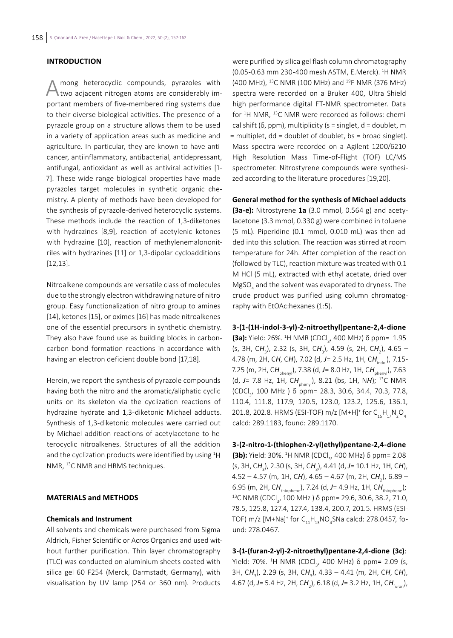# **INTRODUCTION**

Among heterocyclic compounds, pyrazoles with two adjacent nitrogen atoms are considerably important members of five-membered ring systems due to their diverse biological activities. The presence of a pyrazole group on a structure allows them to be used in a variety of application areas such as medicine and agriculture. In particular, they are known to have anticancer, antiinflammatory, antibacterial, antidepressant, antifungal, antioxidant as well as antiviral activities [1- 7]. These wide range biological properties have made pyrazoles target molecules in synthetic organic chemistry. A plenty of methods have been developed for the synthesis of pyrazole-derived heterocyclic systems. These methods include the reaction of 1,3-diketones with hydrazines [8,9], reaction of acetylenic ketones with hydrazine [10], reaction of methylenemalononitriles with hydrazines [11] or 1,3-dipolar cycloadditions [12,13].

Nitroalkene compounds are versatile class of molecules due to the strongly electron withdrawing nature of nitro group. Easy functionalization of nitro group to amines [14], ketones [15], or oximes [16] has made nitroalkenes one of the essential precursors in synthetic chemistry. They also have found use as building blocks in carboncarbon bond formation reactions in accordance with having an electron deficient double bond [17,18].

Herein, we report the synthesis of pyrazole compounds having both the nitro and the aromatic/aliphatic cyclic units on its skeleton via the cyclization reactions of hydrazine hydrate and 1,3-diketonic Michael adducts. Synthesis of 1,3-diketonic molecules were carried out by Michael addition reactions of acetylacetone to heterocyclic nitroalkenes. Structures of all the addition and the cyclization products were identified by using <sup>1</sup>H NMR, <sup>13</sup>C NMR and HRMS techniques.

### **MATERIALS and METHODS**

## **Chemicals and Instrument**

All solvents and chemicals were purchased from Sigma Aldrich, Fisher Scientific or Acros Organics and used without further purification. Thin layer chromatography (TLC) was conducted on aluminium sheets coated with silica gel 60 F254 (Merck, Darmstadt, Germany), with visualisation by UV lamp (254 or 360 nm). Products

were purified by silica gel flash column chromatography (0.05-0.63 mm 230-400 mesh ASTM, E.Merck). <sup>1</sup> H NMR (400 MHz), <sup>13</sup>C NMR (100 MHz) and <sup>19</sup>F NMR (376 MHz) spectra were recorded on a Bruker 400, Ultra Shield high performance digital FT-NMR spectrometer. Data for 1 H NMR, 13C NMR were recorded as follows: chemical shift (δ, ppm), multiplicity (s = singlet, d = doublet, m = multiplet, dd = doublet of doublet, bs = broad singlet). Mass spectra were recorded on a Agilent 1200/6210 High Resolution Mass Time-of-Flight (TOF) LC/MS spectrometer. Nitrostyrene compounds were synthesized according to the literature procedures [19,20].

**General method for the synthesis of Michael adducts (3a-e):** Nitrostyrene **1a** (3.0 mmol, 0.564 g) and acetylacetone (3.3 mmol, 0.330 g) were combined in toluene (5 mL). Piperidine (0.1 mmol, 0.010 mL) was then added into this solution. The reaction was stirred at room temperature for 24h. After completion of the reaction (followed by TLC), reaction mixture was treated with 0.1 M HCl (5 mL), extracted with ethyl acetate, dried over  ${\sf MgSO}_4$  and the solvent was evaporated to dryness. The crude product was purified using column chromatography with EtOAc:hexanes (1:5).

**3-(1-(1H-indol-3-yl)-2-nitroethyl)pentane-2,4-dione (3a):** Yield: 26%. <sup>1</sup>H NMR (CDCl<sub>3</sub>, 400 MHz) δ ppm= 1.95 (s, 3H, CH<sub>3</sub>), 2.32 (s, 3H, CH<sub>3</sub>), 4.59 (s, 2H, CH<sub>2</sub>), 4.65 – 4.78 (m, 2H, C*H*, C*H*), 7.02 (d, *J*= 2.5 Hz, 1H, C*H*indol), 7.15- 7.25 (m, 2H, CH<sub>pheny</sub>), 7.38 (d, J= 8.0 Hz, 1H, CH<sub>pheny</sub>), 7.63 (d, J = 7.8 Hz, 1H, CH<sub>pheny</sub>), 8.21 (bs, 1H, NH); <sup>13</sup>C NMR (CDCl<sub>3</sub>, 100 MHz) δ ppm= 28.3, 30.6, 34.4, 70.3, 77.8, 110.4, 111.8, 117.9, 120.5, 123.0, 123.2, 125.6, 136.1, 201.8, 202.8. HRMS (ESI-TOF) m/z [M+H]<sup>+</sup> for  $C_{15}H_{17}N_2O_4$ calcd: 289.1183, found: 289.1170.

**3-(2-nitro-1-(thiophen-2-yl)ethyl)pentane-2,4-dione (3b):** Yield: 30%. <sup>1</sup>Η NMR (CDCl<sub>3</sub>, 400 MHz) δ ppm= 2.08 (s, 3H, C*H*<sup>3</sup> ), 2.30 (s, 3H, C*H*<sup>3</sup> ), 4.41 (d, *J*= 10.1 Hz, 1H, C*H*), 4.52 – 4.57 (m, 1H, C**H**), 4.65 – 4.67 (m, 2H, C**H**<sub>2</sub>), 6.89 – 6.95 (m, 2H, C*H*thiophene), 7.24 (d, *J*= 4.9 Hz, 1H, C*H*thiophene); <sup>13</sup>C NMR (CDCl<sub>3</sub>, 100 MHz) δ ppm= 29.6, 30.6, 38.2, 71.0, 78.5, 125.8, 127.4, 127.4, 138.4, 200.7, 201.5. HRMS (ESI-TOF) m/z [M+Na] $^{\scriptscriptstyle +}$  for C $_{\scriptscriptstyle 11}^{\scriptscriptstyle +}$ H $_{\scriptscriptstyle 13}^{\scriptscriptstyle +}$ NO $_{\scriptscriptstyle 4}^{\scriptscriptstyle -}$ SNa calcd: 278.0457, found: 278.0467.

**3-(1-(furan-2-yl)-2-nitroethyl)pentane-2,4-dione (3c)**: Yield: 70%. <sup>1</sup>H NMR (CDCl<sub>3</sub>, 400 MHz) δ ppm= 2.09 (s, 3H, C*H*<sup>3</sup> ), 2.29 (s, 3H, C*H*<sup>3</sup> ), 4.33 – 4.41 (m, 2H, C*H*, C*H*), 4.67 (d, *J*= 5.4 Hz, 2H, C*H*<sup>2</sup> ), 6.18 (d, *J*= 3.2 Hz, 1H, C*H*furan),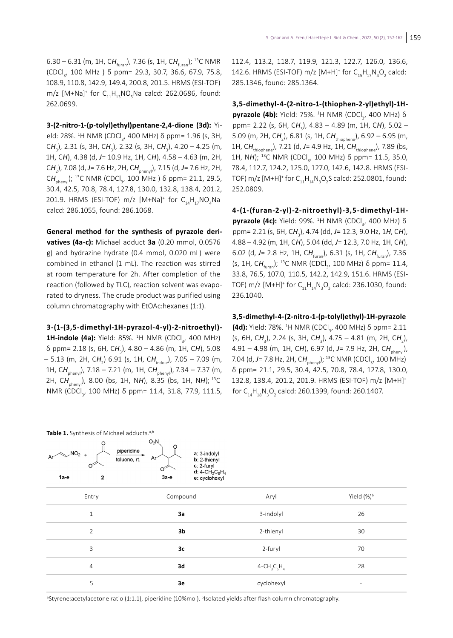6.30 – 6.31 (m, 1H, C*H*furan), 7.36 (s, 1H, C*H*furan); <sup>13</sup>C NMR (CDCl<sub>3</sub>, 100 MHz ) δ ppm= 29.3, 30.7, 36.6, 67.9, 75.8, 108.9, 110.8, 142.9, 149.4, 200.8, 201.5. HRMS (ESI-TOF) m/z [M+Na]<sup>+</sup> for  $C_{11}H_{13}NO_5$ Na calcd: 262.0686, found: 262.0699.

**3-(2-nitro-1-(p-tolyl)ethyl)pentane-2,4-dione (3d):** Yield: 28%. <sup>1</sup>H NMR (CDCl<sub>3</sub>, 400 MHz) δ ppm= 1.96 (s, 3H, CH<sub>3</sub>), 2.31 (s, 3H, CH<sub>3</sub>), 2.32 (s, 3H, CH<sub>3</sub>), 4.20 – 4.25 (m, 1H, C*H*), 4.38 (d, *J*= 10.9 Hz, 1H, C*H*), 4.58 – 4.63 (m, 2H, C*H*<sup>2</sup> ), 7.08 (d, *J*= 7.6 Hz, 2H, C*H*phenyl), 7.15 (d, *J*= 7.6 Hz, 2H, CH<sub>phenyl</sub>); <sup>13</sup>C NMR (CDCl<sub>3</sub>, 100 MHz ) δ ppm= 21.1, 29.5, 30.4, 42.5, 70.8, 78.4, 127.8, 130.0, 132.8, 138.4, 201.2, 201.9. HRMS (ESI-TOF) m/z  $[M+Na]^+$  for  $C_{14}H_{17}NO_4Na$ calcd: 286.1055, found: 286.1068.

**General method for the synthesis of pyrazole derivatives (4a-c):** Michael adduct **3a** (0.20 mmol, 0.0576 g) and hydrazine hydrate (0.4 mmol, 0.020 mL) were combined in ethanol (1 mL). The reaction was stirred at room temperature for 2h. After completion of the reaction (followed by TLC), reaction solvent was evaporated to dryness. The crude product was purified using column chromatography with EtOAc:hexanes (1:1).

**3-(1-(3,5-dimethyl-1H-pyrazol-4-yl)-2-nitroethyl)- 1H-indole (4a):** Yield: 85%. <sup>1</sup>H NMR (CDCl<sub>3</sub>, 400 MHz) δ ppm= 2.18 (s, 6H, C*H*<sup>3</sup> ), 4.80 – 4.86 (m, 1H, C*H*), 5.08 – 5.13 (m, 2H, CH<sub>2</sub>) 6.91 (s, 1H, CH<sub>indole</sub>), 7.05 – 7.09 (m, 1H, CH<sub>phenvl</sub>), 7.18 – 7.21 (m, 1H, CH<sub>phenvl</sub>), 7.34 – 7.37 (m, 2H, CH<sub>nhenvl</sub>), 8.00 (bs, 1H, NH), 8.35 (bs, 1H, NH); <sup>13</sup>C NMR (CDCl<sub>3</sub>, 100 MHz) δ ppm= 11.4, 31.8, 77.9, 111.5, 112.4, 113.2, 118.7, 119.9, 121.3, 122.7, 126.0, 136.6, 142.6. HRMS (ESI-TOF) m/z [M+H]<sup>+</sup> for  $C_{15}H_{17}N_4O_2$  calcd: 285.1346, found: 285.1364.

**3,5-dimethyl-4-(2-nitro-1-(thiophen-2-yl)ethyl)-1Hpyrazole (4b):** Yield: 75%. <sup>1</sup>H NMR (CDCl<sub>3</sub>, 400 MHz) δ ppm= 2.22 (s, 6H, C*H*<sup>3</sup> ), 4.83 – 4.89 (m, 1H, C*H*), 5.02 – 5.09 (m, 2H, CH<sub>2</sub>), 6.81 (s, 1H, CH<sub>thiophene</sub>), 6.92 – 6.95 (m, 1H, CH<sub>thiophene</sub>), 7.21 (d, J= 4.9 Hz, 1H, CH<sub>thiophene</sub>), 7.89 (bs, 1H, NH); <sup>13</sup>C NMR (CDCl<sub>3</sub>, 100 MHz) δ ppm= 11.5, 35.0, 78.4, 112.7, 124.2, 125.0, 127.0, 142.6, 142.8. HRMS (ESI-TOF) m/z [M+H]<sup>+</sup> for  $C_{11}H_{14}N_{3}O_{2}$ S calcd: 252.0801, found: 252.0809.

**4-(1-(furan-2-yl)-2-nitroethyl)-3,5-dimethyl-1Hpyrazole (4c):** Yield: 99%. <sup>1</sup>H NMR (CDCl<sub>3</sub>, 400 MHz) δ ppm= 2.21 (s, 6H, C*H*<sup>3</sup> ), 4.74 (dd, *J*= 12.3, 9.0 Hz, 1*H*, C*H*), 4.88 – 4.92 (m, 1H, C*H*), 5.04 (dd, *J*= 12.3, 7.0 Hz, 1H, C*H*), 6.02 (d, *J*= 2.8 Hz, 1H, C*H*furan), 6.31 (s, 1H, C*H*furan), 7.36 (s, 1H, CH<sub>furan</sub>); <sup>13</sup>C NMR (CDCl<sub>3</sub>, 100 MHz) δ ppm= 11.4, 33.8, 76.5, 107.0, 110.5, 142.2, 142.9, 151.6. HRMS (ESI-TOF) m/z  $[M+H]^+$  for  $C_{11}H_{14}N_3O_3$  calcd: 236.1030, found: 236.1040.

**3,5-dimethyl-4-(2-nitro-1-(p-tolyl)ethyl)-1H-pyrazole (4d):** Yield: 78%. <sup>1</sup>Η NMR (CDCl<sub>3</sub>, 400 MHz) δ ppm= 2.11 (s, 6H, CH<sub>3</sub>), 2.24 (s, 3H, CH<sub>3</sub>), 4.75 – 4.81 (m, 2H, CH<sub>2</sub>), 4.91 – 4.98 (m, 1H, CH), 6.97 (d, J= 7.9 Hz, 2H, CH<sub>pheny</sub>), 7.04 (d, *J* = 7.8 Hz, 2H, CH<sub>pheny</sub>); <sup>13</sup>C NMR (CDCl<sub>3</sub>, 100 MHz) δ ppm= 21.1, 29.5, 30.4, 42.5, 70.8, 78.4, 127.8, 130.0, 132.8, 138.4, 201.2, 201.9. HRMS (ESI-TOF) m/z [M+H]+ for C $_{\rm 14}$ H $_{\rm 18}$ N $_{\rm 3}$ O $_{\rm 2}$  calcd: 260.1399, found: 260.1407.

| <b>Table 1.</b> Synthesis of Michael adducts. <sup>4,0</sup> |                                                                                                                                                                   |                  |                          |  |  |
|--------------------------------------------------------------|-------------------------------------------------------------------------------------------------------------------------------------------------------------------|------------------|--------------------------|--|--|
| $\sim$ NO <sub>2</sub> +<br>Ar $\sim$<br>$1a-e$<br>2         | $O_2N$<br>O<br>piperidine<br>a: 3-indolyl<br>Ar <sup>-</sup><br>toluene, rt.<br>b: 2-thienyl<br>c: 2-furyl<br>σ<br>d: $4 - CH_3C_6H_4$<br>$3a-e$<br>e: cyclohexyl |                  |                          |  |  |
| Entry                                                        | Compound                                                                                                                                                          | Aryl             | Yield (%) <sup>b</sup>   |  |  |
| $1\,$                                                        | 3a                                                                                                                                                                | 3-indolyl        | 26                       |  |  |
| $\overline{2}$                                               | 3 <sub>b</sub>                                                                                                                                                    | 2-thienyl        | 30                       |  |  |
| 3                                                            | 3c                                                                                                                                                                | 2-furyl          | 70                       |  |  |
| $\overline{4}$                                               | 3d                                                                                                                                                                | $4 - CH_3C_6H_4$ | 28                       |  |  |
| 5                                                            | 3e                                                                                                                                                                | cyclohexyl       | $\overline{\phantom{0}}$ |  |  |

**Table 1.** Synthesis of Michael adducts.a,b

<sup>a</sup>Styrene:acetylacetone ratio (1:1.1), piperidine (10%mol). <sup>b</sup>lsolated yields after flash column chromatography.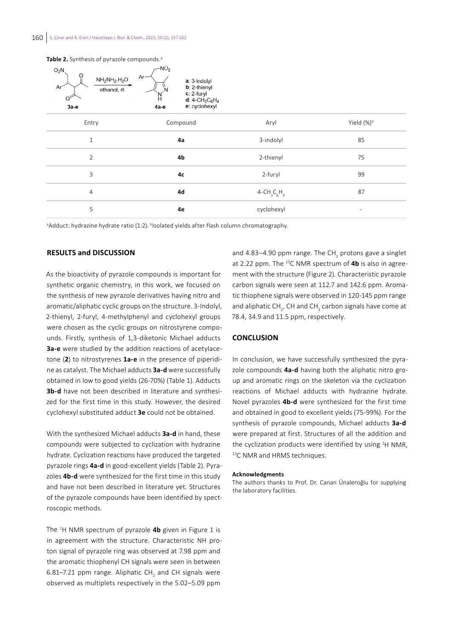| $O_2N$<br>$\circ$<br>$NH2NH2H2O$<br>Ar <sup>-</sup><br>ethanol, rt.<br>O<br>3a-e | $-NO2$<br>$Ar-$<br>a: 3-indolyl<br>$b: 2$ -thienyl<br>Ν<br>c: 2-furyl<br>N<br>$d: 4$ -CH <sub>3</sub> C <sub>6</sub> H <sub>4</sub><br>e: cyclohexyl<br>4а-е |                  |                        |
|----------------------------------------------------------------------------------|--------------------------------------------------------------------------------------------------------------------------------------------------------------|------------------|------------------------|
| Entry                                                                            | Compound                                                                                                                                                     | Aryl             | Yield (%) <sup>b</sup> |
| $1\,$                                                                            | 4a                                                                                                                                                           | 3-indolyl        | 85                     |
| $\overline{2}$                                                                   | 4b                                                                                                                                                           | 2-thienyl        | 75                     |
| 3                                                                                | 4c                                                                                                                                                           | 2-furyl          | 99                     |
| $\overline{4}$                                                                   | 4d                                                                                                                                                           | $4 - CH_3C_6H_4$ | 87                     |
| 5                                                                                | 4e                                                                                                                                                           | cyclohexyl       | ۰                      |

**Table 2.** Synthesis of pyrazole compounds.<sup>a</sup>

<sup>a</sup>Adduct: hydrazine hydrate ratio (1:2). <sup>b</sup>Isolated yields after flash column chromatography.

# **RESULTS and DISCUSSION**

As the bioactivity of pyrazole compounds is important for synthetic organic chemistry, in this work, we focused on the synthesis of new pyrazole derivatives having nitro and aromatic/aliphatic cyclic groups on the structure. 3-Indolyl, 2-thienyl, 2-furyl, 4-methylphenyl and cyclohexyl groups were chosen as the cyclic groups on nitrostyrene compounds. Firstly, synthesis of 1,3-diketonic Michael adducts **3a-e** were studied by the addition reactions of acetylacetone (**2**) to nitrostyrenes **1a-e** in the presence of piperidine as catalyst. The Michael adducts **3a-d** were successfully obtained in low to good yields (26-70%) (Table 1). Adducts **3b-d** have not been described in literature and synthesized for the first time in this study. However, the desired cyclohexyl substituted adduct **3e** could not be obtained.

With the synthesized Michael adducts **3a-d** in hand, these compounds were subjected to cyclization with hydrazine hydrate. Cyclization reactions have produced the targeted pyrazole rings **4a-d** in good-excellent yields (Table 2). Pyrazoles **4b-d** were synthesized for the first time in this study and have not been described in literature yet. Structures of the pyrazole compounds have been identified by spectroscopic methods.

The <sup>1</sup> H NMR spectrum of pyrazole **4b** given in Figure 1 is in agreement with the structure. Characteristic NH proton signal of pyrazole ring was observed at 7.98 ppm and the aromatic thiophenyl CH signals were seen in between 6.81–7.21 ppm range. Aliphatic CH<sub>2</sub> and CH signals were observed as multiplets respectively in the 5.02–5.09 ppm

and 4.83–4.90 ppm range. The CH<sub>3</sub> protons gave a singlet at 2.22 ppm. The 13C NMR spectrum of **4b** is also in agreement with the structure (Figure 2). Characteristic pyrazole carbon signals were seen at 112.7 and 142.6 ppm. Aromatic thiophene signals were observed in 120-145 ppm range and aliphatic CH<sub>2</sub>, CH and CH<sub>3</sub> carbon signals have come at 78.4, 34.9 and 11.5 ppm, respectively.

### **CONCLUSION**

In conclusion, we have successfully synthesized the pyrazole compounds **4a-d** having both the aliphatic nitro group and aromatic rings on the skeleton via the cyclization reactions of Michael adducts with hydrazine hydrate. Novel pyrazoles **4b-d** were synthesized for the first time and obtained in good to excellent yields (75-99%). For the synthesis of pyrazole compounds, Michael adducts **3a-d** were prepared at first. Structures of all the addition and the cyclization products were identified by using <sup>1</sup>H NMR, 13C NMR and HRMS techniques.

#### **Acknowledgments**

The authors thanks to Prof. Dr. Canan Ünaleroğlu for supplying the laboratory facilities.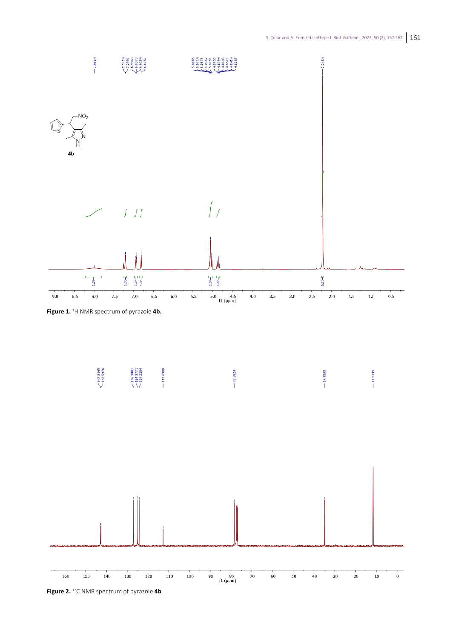



**Figure 2.** <sup>13</sup>C NMR spectrum of pyrazole **4b**